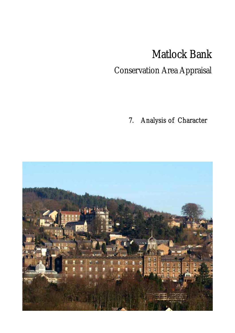# Matlock Bank

# Conservation Area Appraisal

7. Analysis of Character

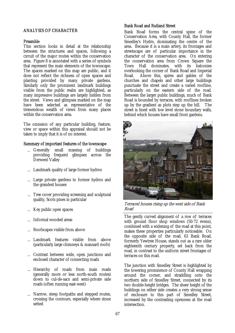# ANALYSIS OF CHARACTER

# Preamble

This section looks in detail at the relationship between the structures and spaces, following a circuit of the major routes within the conservation area. Figure 8 is annotated with a series of symbols that represent the main elements of the townscape. The spaces marked on this map are public, and it does not reflect the richness of open spaces and planting provided by many private gardens. Similarly only the prominent landmark buildings visible from the public realm are highlighted, as many impressive buildings are largely hidden from the street. Views and glimpses marked on the map have been selected as representative of the tremendous wealth of views from many places within the conservation area.

The omission of any particular building, feature, view or space within this appraisal should not be taken to imply that it is of no interest.

#### Summary of important features of the townscape

- ... Generally small massing of buildings providing frequent glimpses across the Derwent Valley
- Landmark quality of large former hydros
- ... Large private gardens to former hydros and the grandest houses
- Tree cover providing screening and sculptural quality, Scots pines in particular
- Key public open spaces
- Informal wooded areas
- Roofscapes visible from above
- Landmark features visible from above (particularly large chimneys & mansard roofs)
- Contrast between wide, open junctions and enclosed character of connecting roads
- Hierarchy of roads from main roads (generally more or less north-south routes) down to cul-de-sacs and semi-private side roads (often running east-west)
- Narrow, steep footpaths and stepped routes, crossing the contours, especially where stone setted

# Bank Road and Rutland Street

Bank Road forms the central spine of the Conservation Area, with County Hall, the former Smedley's Hydro, dominating the centre of the area. Because it is a main artery, its frontages and streetscape are of particular importance in the character of the conservation area. On entering the conservation area from Crown Square the Town Hall dominates, with its balconies overlooking the corner of Bank Road and Imperial Road. Above this, spires and gables of the churches and chapels and other large buildings punctuate the street and create a varied roofline, particularly on the eastern side of the road. Between the larger public buildings, much of Bank Road is bounded by terraces, with rooflines broken up by the gradient as plots step up the hill. The street is lined with low level stone boundary walls, behind which houses have small front gardens.



Terraced houses rising up the west side of Bank Road

The gently curved alignment of a row of terraces with ground floor shop windows (50-72 evens), combined with a widening of the road at this point, makes these properties particularly noticeable. On the opposite side of the road, 63 Bank Road, formerly Yewtree House, stands out as a rare older eighteenth century property, set back from the road, in contrast to the uniform street frontages of terraces on this road.

The junction with Smedley Street is highlighted by the towering prominence of County Hall wrapping around the corner, and straddling onto the northern side of Smedley Street, connected by its two double-height bridges. The sheer height of the buildings on either side creates a very strong sense of enclosure to this part of Smedley Street, increased by the contrasting openness at the road intersection.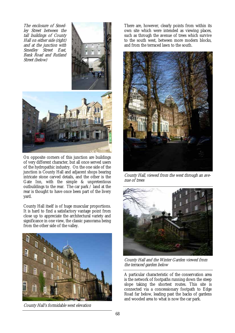The enclosure of Smedley Street between the tall buildings of County Hall on either side (right) and at the junction with Smedley Street East, Bank Road and Rutland Street (below)





On opposite corners of this junction are buildings of very different character, but all once served users of the hydropathic industry. On the one side of the junction is County Hall and adjacent shops bearing intricate stone carved details, and the other is the Gate Inn, with the simple & unpretentious outbuildings to the rear. The car park / land at the rear is thought to have once been part of the livery yard.

County Hall itself is of huge muscular proportions. It is hard to find a satisfactory vantage point from close up to appreciate the architectural variety and significance in one view, the classic panorama being from the other side of the valley.



County Hall's formidable west elevation

There are, however, clearly points from within its own site which were intended as viewing places, such as through the avenue of trees which survive to the south west, between more modern blocks, and from the terraced lawn to the south.



County Hall, viewed from the west through an avenue of trees



County Hall and the Winter Garden viewed from the terraced garden below

A particular characteristic of the conservation area is the network of footpaths running down the steep slope taking the shortest routes. This site is connected via a concessionary footpath to Edge Road far below, leading past the backs of gardens and wooded area to what is now the car park.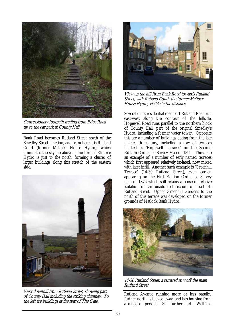

Concessionary footpath leading from Edge Road up to the car park at County Hall

Bank Road becomes Rutland Street north of the Smedley Street junction, and from here it is Rutland Court (former Matlock House Hydro), which dominates the skyline above. The former Elmtree Hydro is just to the north, forming a cluster of larger buildings along this stretch of the eastern side.



View downhill from Rutland Street, showing part of County Hall including the striking chimney. To the left are buildings at the rear of The Gate.



View up the hill from Bank Road towards Rutland Street, with Rutland Court, the former Matlock House Hydro, visible in the distance

Several quiet residential roads off Rutland Road run east-west along the contour of the hillside. Hopewell Road runs parallel to the northern block of County Hall, part of the original Smedley's Hydro, including a former water tower. Opposite this are a number of buildings dating from the late nineteenth century, including a row of terraces marked as 'Hopewell Terraces' on the Second Edition Ordnance Survey Map of 1899. These are an example of a number of early named terraces which first appeared relatively isolated, now mixed with later infill. Another such example is 'Greenhill Terrace' (14-30 Rutland Street), even earlier, appearing on the First Edition Ordnance Survey map of 1876 which still retains a sense of relative isolation on an unadopted section of road off Rutland Street. Upper Greenhill Gardens to the north of this terrace was developed on the former grounds of Matlock Bank Hydro.



14-30 Rutland Street, a terraced row off the main Rutland Street

Rutland Avenue running more or less parallel, further north, is tucked away, and has housing from a range of periods. Still further north, Wellfield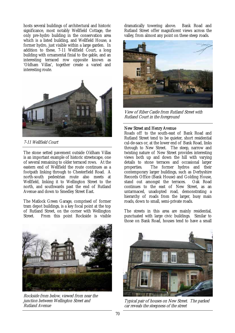hosts several buildings of architectural and historic significance, most notably Wellfield Cottage, the only pre-hydro building in the conservation area which is a listed building, and Wellfield House, a former hydro, just visible within a large garden. In addition to these, 7-11 Wellfield Court, a long building with ornamental finial to the gable, and an interesting terraced row opposite known as 'Oldham Villas', together create a varied and interesting route.



7-11 Wellfield Court

The stone setted pavement outside Oldham Villas is an important example of historic streetscape, one of several remaining to older terraced rows. At the eastern end of Wellfield the route continues as a footpath linking through to Chesterfield Road. A north-south pedestrian route also meets at Wellfield, linking it to Wellington Street to the north, and southwards past the end of Rutland Avenue and down to Smedley Street East.

The Matlock Green Garage, comprised of former tram depot buildings, is a key focal point at the top of Rutland Street, on the corner with Wellington Street. From this point Rockside is visible

Rockside from below, viewed from near the junction between Wellington Street and Rutland Avenue

dramatically towering above. Bank Road and Rutland Street offer magnificent views across the valley, from almost any point on these steep roads.



View of Riber Castle from Rutland Street with Rutland Court in the foreground

# New Street and Henry Avenue

Roads off to the south-east of Bank Road and Rutland Street tend to be quieter, short residential cul-de-sacs or, at the lower end of Bank Road, links through to New Street. The steep, narrow and twisting nature of New Street provides interesting views both up and down the hill with varying details to stone terraces and occasional larger properties. The former hydros and their contemporary larger buildings, such as Derbyshire Records Office (Bank House) and Golding House,<br>stand out amongst the terraces. Oak Road stand out amongst the terraces. continues to the east of New Street, as an untarmaced, unadopted road, demonstrating a hierarchy of roads from the larger, busy main roads, down to small, semi-private roads.

Typical pair of houses on New Street. The parked car reveals the steepness of the street

The streets in this area are mainly residential, punctuated with large civic buildings. Similar to those on Bank Road, houses tend to have a small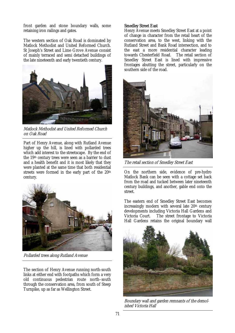front garden and stone boundary walls, some retaining iron railings and gates.

The western section of Oak Road is dominated by Matlock Methodist and United Reformed Church. St Joseph's Street and Lime Grove Avenue consist of mainly terraced and semi detached buildings of the late nineteenth and early twentieth century.



Matlock Methodist and United Reformed Church on Oak Road

Part of Henry Avenue, along with Rutland Avenue higher up the hill, is lined with pollarded trees which add interest to the streetscape. By the end of the 19th century trees were seen as a barrier to dust and a health benefit and it is most likely that they were planted at the same time that both residential streets were formed in the early part of the 20<sup>th</sup> century.



Pollarded trees along Rutland Avenue

The section of Henry Avenue running north-south links at either end with footpaths which form a very old continuous pedestrian route north–south through the conservation area, from south of Steep Turnpike, up as far as Wellington Street.

#### Smedley Street East

Henry Avenue meets Smedley Street East at a point of change in character from the retail heart of the conservation area, to the west, linking with the Rutland Street and Bank Road intersection, and to the east a more residential character leading towards Chesterfield Road. The retail section of Smedley Street East is lined with impressive frontages abutting the street, particularly on the southern side of the road.



The retail section of Smedley Street East

On the northern side, evidence of pre-hydro Matlock Bank can be seen with a cottage set back from the road and tucked between later nineteenth century buildings, and another, gable end onto the street.

The eastern end of Smedley Street East becomes increasingly modern with several late 20th century developments including Victoria Hall Gardens and Victoria Court. The street frontage to Victoria Hall Gardens retains the original boundary wall



Boundary wall and garden remnants of the demolished Victoria Hall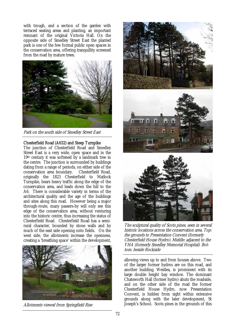with trough, and a section of the garden with terraced seating areas and planting, an important remnant of the original Victoria Hall. On the opposite side of Smedley Street East the planted park is one of the few formal public open spaces in the conservation area, offering tranquillity screened from the road by mature trees.



Park on the south side of Smedley Street East

# Chesterfield Road (A632) and Steep Turnpike

The junction of Chesterfield Road and Smedley Street East is a very wide, open space and in the 19th century it was softened by a landmark tree in the centre. The junction is surrounded by buildings dating from a range of periods, on either side of the conservation area boundary. Chesterfield Road, originally the 1823 Chesterfield to Matlock Turnpike, bears heavy traffic along the edge of the conservation area, and leads down the hill to the A6. There is considerable variety in terms of the architectural quality and the age of the buildings and sites along this road. However being a major through-route, many passers-by will only see this edge of the conservation area, without venturing into the historic centre, thus increasing the status of Chesterfield Road. Chesterfield Road has a semirural character, bounded by stone walls and by much of the east side opening onto fields. On the west side, the allotments increase the openness, creating a 'breathing space' within the development,







The sculptural quality of Scots pines, seen in several historic locations across the conservation area. Top: the grounds to Presentation Convent (formerly Chesterfield House Hydro). Middle: adjacent to the YHA (formerly Smedley Memorial Hospital). Bottom: beside Rockside

allowing views up to and from houses above. Two of the larger former hydros are on this road, and another building, Westlea, is prominent with its large double height bay window. The dominant Chatsworth Hall (former hydro) abuts the roadside, and on the other side of the road the former Chesterfield House Hydro, now Presentation Convent, is hidden from sight within extensive grounds along with the later development, St Allotments viewed from Springfield Rise Joseph's School. Scots pines in the grounds of this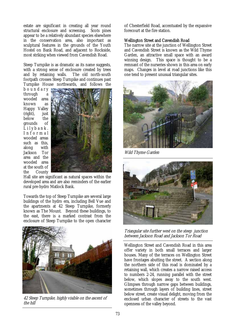estate are significant in creating all year round structural enclosure and screening. Scots pines appear to be a relatively abundant species elsewhere in the conservation area, also important as sculptural features in the grounds of the Youth Hostel on Bank Road, and adjacent to Rockside, most striking when viewed from Cavendish Road.

Steep Turnpike is as dramatic as its name suggests, with a strong sense of enclosure created by trees and by retaining walls. The old north-south footpath crosses Steep Turnpike and continues past Turnpike House northwards, and follows the

b o u n d a r y through a wooded area known as Happy Valley (right), just below the grounds of  $\tilde{L}$  i  $\vert$  y  $\vert$  a n  $\vert$ . I n f o r m a l wooded areas such as this, along with Jackson Tor area and the wooded area at the south of the County



Hall site are significant as natural spaces within the developed area and are also reminders of the earlier rural pre-hydro Matlock Bank.

Towards the top of Steep Turnpike are several large buildings of the hydro era, including Bell Vue and the apartments at 42 Steep Turnpike, formerly known as The Mount. Beyond these buildings, to the east, there is a marked contrast from the enclosure of Steep Turnpike to the open character



42 Steep Turnpike, highly visible on the ascent of the hill

of Chesterfield Road, accentuated by the expansive forecourt at the fire station.

#### Wellington Street and Cavendish Road

The narrow site at the junction of Wellington Street and Cavendish Street is known as the Wild Thyme Garden, an attractive small space with an award winning design. This space is thought to be a remnant of the nurseries shown in this area on early maps. Changes in level at road junctions like this one tend to present unusual triangular sites.



Wild Thyme Garden



Triangular site further west on the steep junction between Jackson Road and Jackson Tor Road

Wellington Street and Cavendish Road in this area offer variety in both small terraces and larger houses. Many of the terraces on Wellington Street have frontages abutting the street. A section along the northern side of this road is dominated by a retaining wall, which creates a narrow raised access to numbers 2-24, running parallel with the street below, which slopes away to the south west. Glimpses through narrow gaps between buildings, sometimes through layers of building lines, street below street, create visual delight, moving from the enclosed urban character of streets to the vast openness of the valley beyond.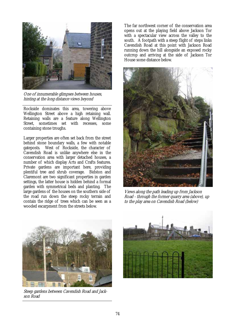

One of innumerable glimpses between houses, hinting at the long distance views beyond

Rockside dominates this area, towering above Wellington Street above a high retaining wall. Retaining walls are a feature along Wellington Street, sometimes set with recesses, some containing stone troughs.

Larger properties are often set back from the street behind stone boundary walls, a few with notable gateposts. West of Rockside, the character of West of Rockside, the character of Cavendish Road is unlike anywhere else in the conservation area with larger detached houses, a number of which display Arts and Crafts features. Private gardens are important here, providing plentiful tree and shrub coverage. Bidston and Claremont are two significant properties in garden settings, the latter house is hidden behind a formal garden with symmetrical beds and planting. The large gardens of the houses on the southern side of the road run down the steep rocky terrain and contain the ridge of trees which can be seen as a wooded escarpment from the streets below.

The far northwest corner of the conservation area opens out at the playing field above Jackson Tor with a spectacular view across the valley to the south. A footpath with a steep flight of steps links Cavendish Road at this point with Jackson Road running down the hill alongside an exposed rocky outcrop and arriving at the side of Jackson Tor House some distance below.



Views along the path leading up from Jackson Road - through the former quarry area (above), up to the play area on Cavendish Road (below)



Steep gardens between Cavendish Road and Jackson Road

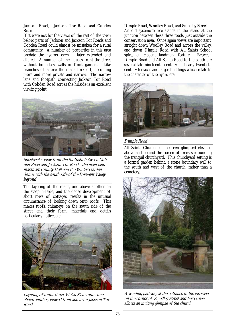# Jackson Road, Jackson Tor Road and Cobden Road

If it were not for the views of the rest of the town below, parts of Jackson and Jackson Tor Roads and Cobden Road could almost be mistaken for a rural community. A number of properties in this area predate the hydros, even if later extended and altered. A number of the houses front the street without boundary walls or front gardens. Like branches of a tree the roads fork off, becoming more and more private and narrow. The narrow lane and footpath connecting Jackson Tor Road with Cobden Road across the hillside is an excellent viewing point.



Spectacular view from the footpath between Cobden Road and Jackson Tor Road - the main landmarks are County Hall and the Winter Garden dome, with the south side of the Derwent Valley beyond

The layering of the roads, one above another on the steep hillside, and the dense development of short rows of cottages, results in the unusual circumstance of looking down onto roofs. This makes roofs, chimneys on the south side of the street and their form, materials and details particularly noticeable.



Layering of roofs, three Welsh Slate roofs, one above another, viewed from above on Jackson Tor Road.

# Dimple Road, Woolley Road, and Smedley Street

An old sycamore tree stands in the island at the junction between these three roads, just outside the conservation area. Once again views are important, straight down Woolley Road and across the valley, and down Dimple Road with All Saints School spire, an elegant landmark feature. Between Dimple Road and All Saints Road to the south are several late nineteenth century and early twentieth century terraces and larger buildings which relate to the character of the hydro era.



#### Dimple Road

All Saints Church can be seen glimpsed elevated above and behind the screen of trees surrounding the tranquil churchyard. This churchyard setting is a formal garden behind a stone boundary wall to the south and west of the church, rather than a cemetery.



A winding pathway at the entrance to the vicarage on the corner of Smedley Street and Far Green allows an inviting glimpse of the church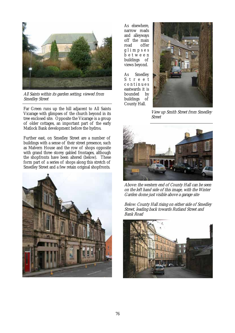

All Saints within its garden setting, viewed from Smedley Street

Far Green runs up the hill adjacent to All Saints Vicarage with glimpses of the church beyond in its tree enclosed site. Opposite the Vicarage is a group of older cottages, an important part of the early Matlock Bank development before the hydros.

Further east, on Smedley Street are a number of buildings with a sense of their street presence, such as Malvern House and the row of shops opposite with grand three storey gabled frontages, although the shopfronts have been altered (below). These form part of a series of shops along this stretch of Smedley Street and a few retain original shopfronts.



As elsewhere, narrow roads and alleyways off the main road offer g l i m p s e s b e t w e e n buildings of views beyond.

As Smedley S t r e e t c o n t i n u e s eastwards it is bounded by buildings of County Hall.



View up Smith Street from Smedley Street



Above: the western end of County Hall can be seen on the left hand side of this image, with the Winter Garden dome just visible above a garage site

Below: County Hall rising on either side of Smedley Street, leading back towards Rutland Street and Bank Road